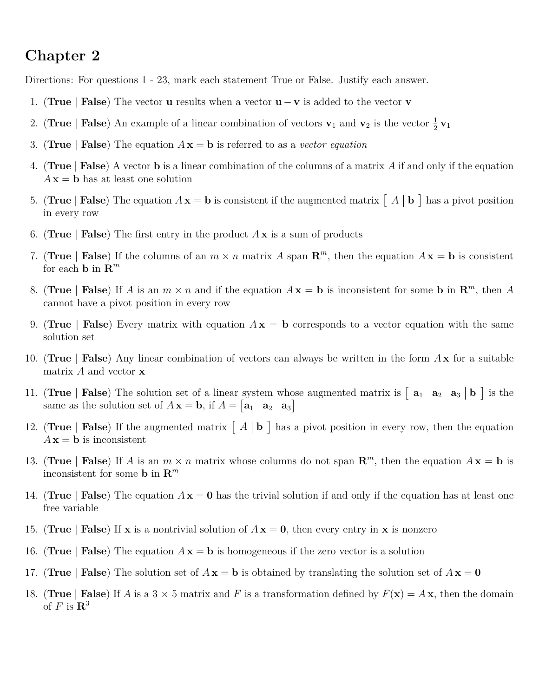## **Chapter 2**

Directions: For questions 1 - 23, mark each statement True or False. Justify each answer.

- 1. (**True** | **False**) The vector **u** results when a vector **u** − **v** is added to the vector **v**
- 2. (**True** | **False**) An example of a linear combination of vectors  $\mathbf{v}_1$  and  $\mathbf{v}_2$  is the vector  $\frac{1}{2}\mathbf{v}_1$
- 3. (**True** | **False**) The equation  $A x = b$  is referred to as a *vector equation*
- 4. (**True** | **False**) A vector **b** is a linear combination of the columns of a matrix *A* if and only if the equation  $A\mathbf{x} = \mathbf{b}$  has at least one solution
- 5. (True | **False**) The equation  $A x = b$  is consistent if the augmented matrix  $\begin{bmatrix} A & b \end{bmatrix}$  has a pivot position in every row
- 6. **(True** | **False**) The first entry in the product  $A \times$  is a sum of products
- 7. (**True** | **False**) If the columns of an  $m \times n$  matrix *A* span  $\mathbb{R}^m$ , then the equation  $A\mathbf{x} = \mathbf{b}$  is consistent for each **b** in  $\mathbb{R}^m$
- 8. (**True** | **False**) If *A* is an  $m \times n$  and if the equation  $A x = b$  is inconsistent for some **b** in  $\mathbb{R}^m$ , then *A* cannot have a pivot position in every row
- 9. (**True** | **False**) Every matrix with equation  $A x = b$  corresponds to a vector equation with the same solution set
- 10. (**True** | **False**) Any linear combination of vectors can always be written in the form *A* **x** for a suitable matrix *A* and vector **x**
- 11. (True | **False**) The solution set of a linear system whose augmented matrix is  $\begin{bmatrix} a_1 & a_2 & a_3 \end{bmatrix}$  is the same as the solution set of  $A\mathbf{x} = \mathbf{b}$ , if  $A = \begin{bmatrix} \mathbf{a}_1 & \mathbf{a}_2 & \mathbf{a}_3 \end{bmatrix}$
- 12. (True | False) If the augmented matrix  $\begin{bmatrix} A & b \end{bmatrix}$  has a pivot position in every row, then the equation  $A\mathbf{x} = \mathbf{b}$  is inconsistent
- 13. (True | **False**) If *A* is an  $m \times n$  matrix whose columns do not span  $\mathbb{R}^m$ , then the equation  $A\mathbf{x} = \mathbf{b}$  is inconsistent for some **b** in **R** *m*
- 14. (**True** | **False**) The equation  $A\mathbf{x} = \mathbf{0}$  has the trivial solution if and only if the equation has at least one free variable
- 15. (True | **False**) If **x** is a nontrivial solution of  $A\mathbf{x} = 0$ , then every entry in **x** is nonzero
- 16. (True | **False**) The equation  $A x = b$  is homogeneous if the zero vector is a solution
- 17. (True | **False**) The solution set of  $A\mathbf{x} = \mathbf{b}$  is obtained by translating the solution set of  $A\mathbf{x} = \mathbf{0}$
- 18. (True | **False**) If *A* is a 3  $\times$  5 matrix and *F* is a transformation defined by  $F(\mathbf{x}) = A\mathbf{x}$ , then the domain of  $F$  is  $\mathbf{R}^3$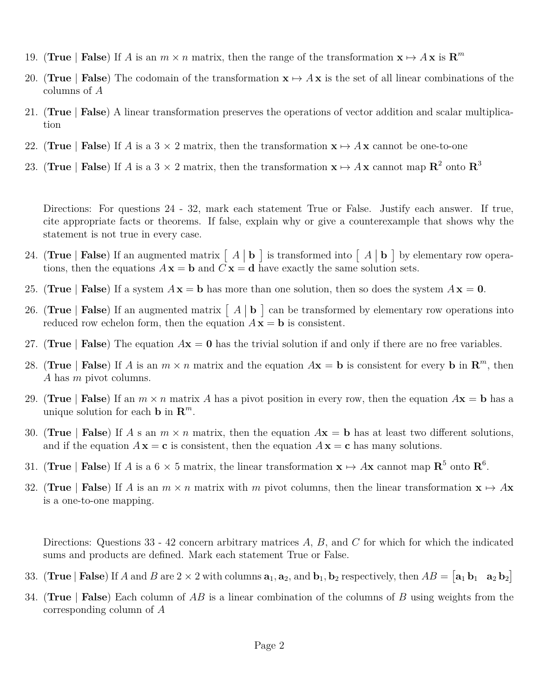- 19. (**True** | **False**) If *A* is an  $m \times n$  matrix, then the range of the transformation  $\mathbf{x} \mapsto A\mathbf{x}$  is  $\mathbf{R}^m$
- 20. (**True** | **False**) The codomain of the transformation  $\mathbf{x} \mapsto A\mathbf{x}$  is the set of all linear combinations of the columns of *A*
- 21. (**True** | **False**) A linear transformation preserves the operations of vector addition and scalar multiplication
- 22. (**True** | **False**) If *A* is a 3  $\times$  2 matrix, then the transformation  $\mathbf{x} \mapsto A\mathbf{x}$  cannot be one-to-one
- 23. (True | **False**) If *A* is a 3  $\times$  2 matrix, then the transformation  $\mathbf{x} \mapsto A\mathbf{x}$  cannot map  $\mathbb{R}^2$  onto  $\mathbb{R}^3$

Directions: For questions 24 - 32, mark each statement True or False. Justify each answer. If true, cite appropriate facts or theorems. If false, explain why or give a counterexample that shows why the statement is not true in every case.

- 24. (True | False) If an augmented matrix  $\begin{bmatrix} A & b \end{bmatrix}$  is transformed into  $\begin{bmatrix} A & b \end{bmatrix}$  by elementary row operations, then the equations  $A\mathbf{x} = \mathbf{b}$  and  $C\mathbf{x} = \mathbf{d}$  have exactly the same solution sets.
- 25. (True | **False**) If a system  $A\mathbf{x} = \mathbf{b}$  has more than one solution, then so does the system  $A\mathbf{x} = \mathbf{0}$ .
- 26. (True | False) If an augmented matrix  $\begin{bmatrix} A & b \end{bmatrix}$  can be transformed by elementary row operations into reduced row echelon form, then the equation  $A\mathbf{x} = \mathbf{b}$  is consistent.
- 27. (True | **False**) The equation  $A\mathbf{x} = \mathbf{0}$  has the trivial solution if and only if there are no free variables.
- 28. (True | **False**) If *A* is an  $m \times n$  matrix and the equation  $A$ **x** = **b** is consistent for every **b** in  $\mathbb{R}^m$ , then *A* has *m* pivot columns.
- 29. (True | **False**) If an  $m \times n$  matrix A has a pivot position in every row, then the equation  $A\mathbf{x} = \mathbf{b}$  has a unique solution for each **b** in  $\mathbb{R}^m$ .
- 30. (True | **False**) If *A* s an  $m \times n$  matrix, then the equation  $A\mathbf{x} = \mathbf{b}$  has at least two different solutions, and if the equation  $A\mathbf{x} = \mathbf{c}$  is consistent, then the equation  $A\mathbf{x} = \mathbf{c}$  has many solutions.
- 31. (True | **False**) If *A* is a 6  $\times$  5 matrix, the linear transformation  $\mathbf{x} \mapsto A\mathbf{x}$  cannot map  $\mathbf{R}^5$  onto  $\mathbf{R}^6$ .
- 32. (True | False) If *A* is an  $m \times n$  matrix with *m* pivot columns, then the linear transformation  $\mathbf{x} \mapsto A\mathbf{x}$ is a one-to-one mapping.

Directions: Questions 33 - 42 concern arbitrary matrices *A*, *B*, and *C* for which for which the indicated sums and products are defined. Mark each statement True or False.

- 33. (True | **False**) If *A* and *B* are 2  $\times$  2 with columns  $\mathbf{a}_1, \mathbf{a}_2$ , and  $\mathbf{b}_1, \mathbf{b}_2$  respectively, then  $AB = [\mathbf{a}_1 \mathbf{b}_1 \quad \mathbf{a}_2 \mathbf{b}_2]$
- 34. (**True** | **False**) Each column of *AB* is a linear combination of the columns of *B* using weights from the corresponding column of *A*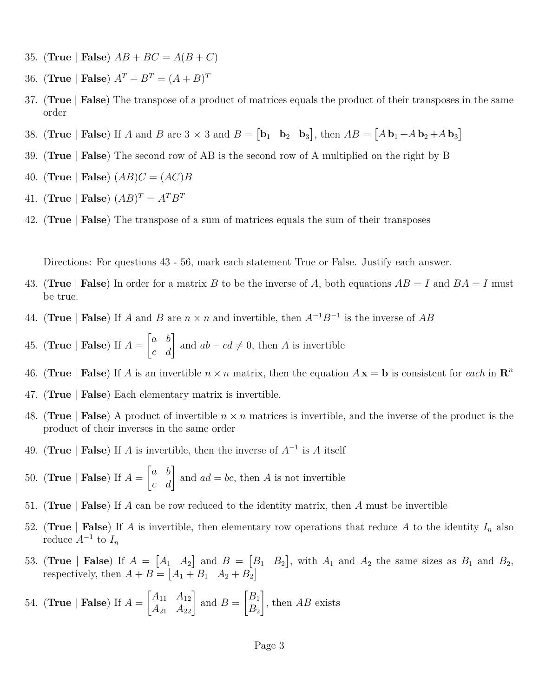- 35. (**True** | **False**)  $AB + BC = A(B+C)$
- 36. (**True** | **False**)  $A^T + B^T = (A + B)^T$
- 37. (**True** | **False**) The transpose of a product of matrices equals the product of their transposes in the same order
- 38. (**True** | **False**) If *A* and *B* are 3  $\times$  3 and *B* =  $\begin{bmatrix} \mathbf{b}_1 & \mathbf{b}_2 & \mathbf{b}_3 \end{bmatrix}$ , then  $AB = \begin{bmatrix} A\,\mathbf{b}_1 + A\,\mathbf{b}_2 + A\,\mathbf{b}_3 \end{bmatrix}$
- 39. (**True** | **False**) The second row of AB is the second row of A multiplied on the right by B
- 40. (**True** | **False**)  $(AB)C = (AC)B$
- 41. (**True** | **False**)  $(AB)^T = A^T B^T$
- 42. (**True** | **False**) The transpose of a sum of matrices equals the sum of their transposes

Directions: For questions 43 - 56, mark each statement True or False. Justify each answer.

- 43. (True | **False**) In order for a matrix B to be the inverse of A, both equations  $AB = I$  and  $BA = I$  must be true.
- 44. (**True** | **False**) If *A* and *B* are  $n \times n$  and invertible, then  $A^{-1}B^{-1}$  is the inverse of *AB*
- 45. (**True** | **False**) If *A* =  $\begin{bmatrix} a & b \\ c & d \end{bmatrix}$  and  $ab - cd \neq 0$ , then *A* is invertible
- 46. (True | **False**) If *A* is an invertible  $n \times n$  matrix, then the equation  $A\mathbf{x} = \mathbf{b}$  is consistent for *each* in  $\mathbf{R}^n$
- 47. (**True** | **False**) Each elementary matrix is invertible.
- 48. (**True** | **False**) A product of invertible *n* × *n* matrices is invertible, and the inverse of the product is the product of their inverses in the same order
- 49. (**True** | **False**) If *A* is invertible, then the inverse of *A*<sup>−</sup><sup>1</sup> is *A* itself
- 50. (**True** | **False**) If *A* =  $\begin{bmatrix} a & b \\ c & d \end{bmatrix}$  and  $ad = bc$ , then *A* is not invertible
- 51. (**True** | **False**) If *A* can be row reduced to the identity matrix, then *A* must be invertible
- 52. (True | **False**) If *A* is invertible, then elementary row operations that reduce *A* to the identity  $I_n$  also reduce  $A^{-1}$  to  $I_n$
- 53. (True | False) If  $A = \begin{bmatrix} A_1 & A_2 \end{bmatrix}$  and  $B = \begin{bmatrix} B_1 & B_2 \end{bmatrix}$ , with  $A_1$  and  $A_2$  the same sizes as  $B_1$  and  $B_2$ , respectively, then  $A + B = \begin{bmatrix} A_1 + B_1 & A_2 + B_2 \end{bmatrix}$
- 54. (**True** | **False**) If *A* =  $\begin{bmatrix} A_{11} & A_{12} \\ A_{21} & A_{22} \end{bmatrix}$ and  $B =$  $\big\lceil B_1$ *B*<sup>2</sup> 1 , then *AB* exists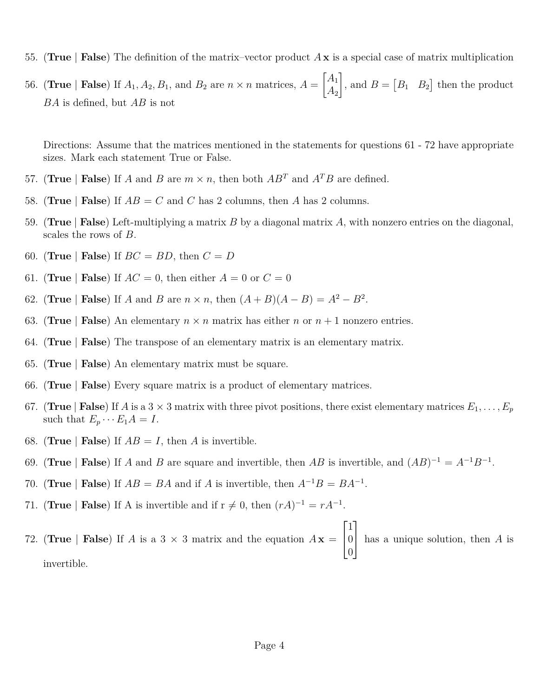- 55. (**True** | **False**) The definition of the matrix–vector product *A* **x** is a special case of matrix multiplication
- 56. (**True** | **False**) If  $A_1, A_2, B_1$ , and  $B_2$  are  $n \times n$  matrices,  $A =$  $\left[ A_1 \right]$ *A*<sup>2</sup> 1 , and  $B = \begin{bmatrix} B_1 & B_2 \end{bmatrix}$  then the product *BA* is defined, but *AB* is not

Directions: Assume that the matrices mentioned in the statements for questions 61 - 72 have appropriate sizes. Mark each statement True or False.

- 57. (True | False) If *A* and *B* are  $m \times n$ , then both  $AB^T$  and  $A^T B$  are defined.
- 58. (**True** | **False**) If  $AB = C$  and *C* has 2 columns, then *A* has 2 columns.
- 59. (**True** | **False**) Left-multiplying a matrix *B* by a diagonal matrix *A*, with nonzero entries on the diagonal, scales the rows of *B*.
- 60. (**True** | **False**) If  $BC = BD$ , then  $C = D$
- 61. (**True** | **False**) If  $AC = 0$ , then either  $A = 0$  or  $C = 0$
- 62. (**True** | **False**) If *A* and *B* are  $n \times n$ , then  $(A + B)(A B) = A^2 B^2$ .
- 63. (True | False) An elementary  $n \times n$  matrix has either *n* or  $n + 1$  nonzero entries.
- 64. (**True** | **False**) The transpose of an elementary matrix is an elementary matrix.
- 65. (**True** | **False**) An elementary matrix must be square.
- 66. (**True** | **False**) Every square matrix is a product of elementary matrices.
- 67. (**True** | **False**) If *A* is a 3  $\times$  3 matrix with three pivot positions, there exist elementary matrices  $E_1, \ldots, E_p$ such that  $E_p \cdots E_1 A = I$ .
- 68. (**True** | **False**) If  $AB = I$ , then *A* is invertible.
- 69. (**True** | **False**) If *A* and *B* are square and invertible, then *AB* is invertible, and  $(AB)^{-1} = A^{-1}B^{-1}$ .
- 70. (**True** | **False**) If  $AB = BA$  and if *A* is invertible, then  $A^{-1}B = BA^{-1}$ .
- 71. (**True** | **False**) If A is invertible and if  $r \neq 0$ , then  $(rA)^{-1} = rA^{-1}$ .
- 72. (**True** | **False**) If *A* is a 3  $\times$  3 matrix and the equation  $A\mathbf{x} =$  $\sqrt{ }$  $\overline{1}$ 1  $\overline{0}$ 0 1 has a unique solution, then *<sup>A</sup>* is invertible.